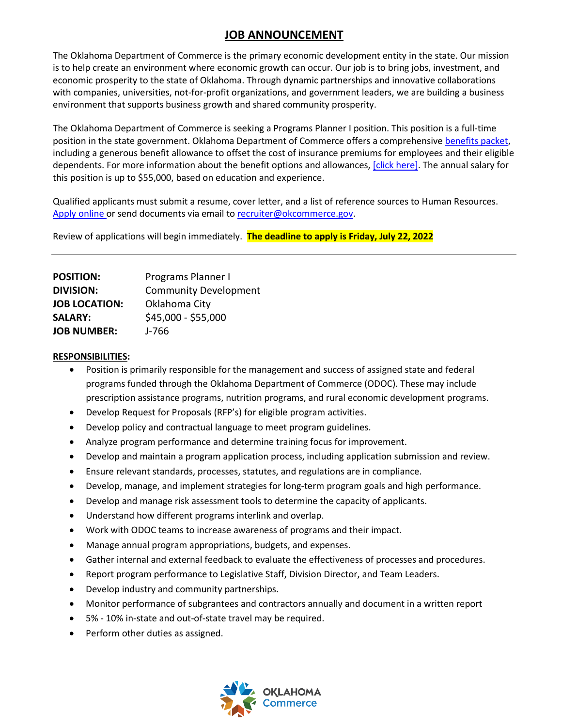## **JOB ANNOUNCEMENT**

The Oklahoma Department of Commerce is the primary economic development entity in the state. Our mission is to help create an environment where economic growth can occur. Our job is to bring jobs, investment, and economic prosperity to the state of Oklahoma. Through dynamic partnerships and innovative collaborations with companies, universities, not-for-profit organizations, and government leaders, we are building a business environment that supports business growth and shared community prosperity.

The Oklahoma Department of Commerce is seeking a Programs Planner I position. This position is a full-time position in the state government. Oklahoma Department of Commerce offers a comprehensive [benefits packet,](https://omes.ok.gov/services/employee-benefits) including a generous benefit allowance to offset the cost of insurance premiums for employees and their eligible dependents. For more information about the benefit options and allowances, [\[click here\].](https://oklahoma.gov/content/dam/ok/en/employee-benefits/documents/2022-forms/2022-Monthly-Rates.pdf) The annual salary for this position is up to \$55,000, based on education and experience.

Qualified applicants must submit a resume, cover letter, and a list of reference sources to Human Resources. [Apply online](mailto:Apply%20online) or send documents via email t[o recruiter@okcommerce.gov.](mailto:recruiter@okcommerce.gov)

Review of applications will begin immediately. **The deadline to apply is Friday, July 22, 2022**

| Programs Planner I           |
|------------------------------|
| <b>Community Development</b> |
| Oklahoma City                |
| \$45,000 - \$55,000          |
| J-766                        |
|                              |

## **RESPONSIBILITIES:**

- Position is primarily responsible for the management and success of assigned state and federal programs funded through the Oklahoma Department of Commerce (ODOC). These may include prescription assistance programs, nutrition programs, and rural economic development programs.
- Develop Request for Proposals (RFP's) for eligible program activities.
- Develop policy and contractual language to meet program guidelines.
- Analyze program performance and determine training focus for improvement.
- Develop and maintain a program application process, including application submission and review.
- Ensure relevant standards, processes, statutes, and regulations are in compliance.
- Develop, manage, and implement strategies for long-term program goals and high performance.
- Develop and manage risk assessment tools to determine the capacity of applicants.
- Understand how different programs interlink and overlap.
- Work with ODOC teams to increase awareness of programs and their impact.
- Manage annual program appropriations, budgets, and expenses.
- Gather internal and external feedback to evaluate the effectiveness of processes and procedures.
- Report program performance to Legislative Staff, Division Director, and Team Leaders.
- Develop industry and community partnerships.
- Monitor performance of subgrantees and contractors annually and document in a written report
- 5% 10% in-state and out-of-state travel may be required.
- Perform other duties as assigned.